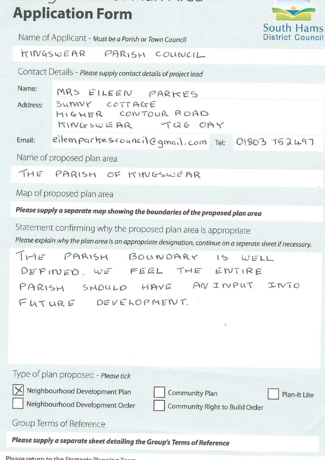# **Application Form**



Name of Applicant - Must be a Parish or Town Council

TINGSWEAR PARISH COUNCIL.

Contact Details - Please supply contact details of project lead

Name: MRS EILEEN PARKES SUNNY COTTAGE Address: HIGHER CONTOUR ROAD TQ6 OAY KINGSWEAR

eileen partres council @ qmail, com Tel: 01803 752497 Email:

Name of proposed plan area

THE PARISH OF KINGSWEAR

Map of proposed plan area

Please supply a separate map showing the boundaries of the proposed plan area

Statement confirming why the proposed plan area is appropriate Please explain why the plan area is an appropriate designation, continue on a seperate sheet if necessary.

THE PARISH BOUNDARY  $15. WELL$ DEFINED, WE FEEL THE ENTIRE PARISH SHOULD HAVE AN INPUT INTO FUTURE DEVELOPMENT.

| Type of plan proposed - Please tick<br>X Neighbourhood Development Plan<br>Neighbourhood Development Order | <b>Community Plan</b><br>Plan-It Lite<br>Community Right to Build Order |
|------------------------------------------------------------------------------------------------------------|-------------------------------------------------------------------------|
| Group Terms of Reference                                                                                   |                                                                         |
| Please supply a separate sheet detailing the Group's Terms of Reference                                    |                                                                         |

Please return to the Strategic Dla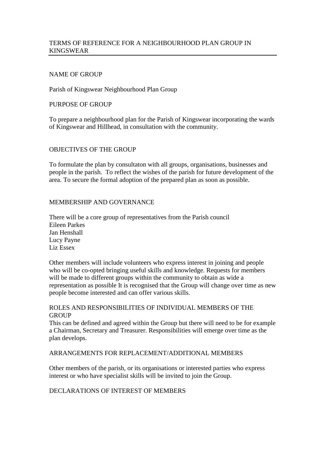# TERMS OF REFERENCE FOR A NEIGHBOURHOOD PLAN GROUP IN KINGSWEAR

### NAME OF GROUP

#### Parish of Kingswear Neighbourhood Plan Group

#### PURPOSE OF GROUP

To prepare a neighbourhood plan for the Parish of Kingswear incorporating the wards of Kingswear and Hillhead, in consultation with the community.

#### OBJECTIVES OF THE GROUP

To formulate the plan by consultaton with all groups, organisations, businesses and people in the parish. To reflect the wishes of the parish for future development of the area. To secure the formal adoption of the prepared plan as soon as possible.

#### MEMBERSHIP AND GOVERNANCE

There will be a core group of representatives from the Parish council Eileen Parkes Jan Henshall Lucy Payne Liz Essex

Other members will include volunteers who express interest in joining and people who will be co-opted bringing useful skills and knowledge. Requests for members will be made to different groups within the community to obtain as wide a representation as possible It is recognised that the Group will change over time as new people become interested and can offer various skills.

# ROLES AND RESPONSIBILITIES OF INDIVIDUAL MEMBERS OF THE **GROUP**

This can be defined and agreed within the Group but there will need to be for example a Chairman, Secretary and Treasurer. Responsibilities will emerge over time as the plan develops.

#### ARRANGEMENTS FOR REPLACEMENT/ADDITIONAL MEMBERS

Other members of the parish, or its organisations or interested parties who express interest or who have specialist skills will be invited to join the Group.

### DECLARATIONS OF INTEREST OF MEMBERS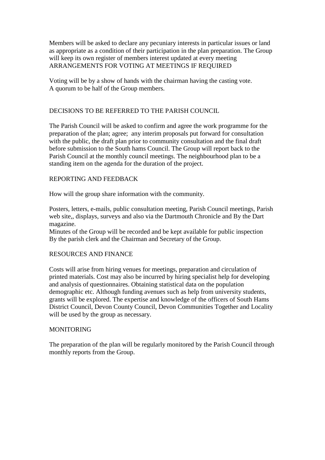Members will be asked to declare any pecuniary interests in particular issues or land as appropriate as a condition of their participation in the plan preparation. The Group will keep its own register of members interest updated at every meeting ARRANGEMENTS FOR VOTING AT MEETINGS IF REQUIRED

Voting will be by a show of hands with the chairman having the casting vote. A quorum to be half of the Group members.

# DECISIONS TO BE REFERRED TO THE PARISH COUNCIL

The Parish Council will be asked to confirm and agree the work programme for the preparation of the plan; agree; any interim proposals put forward for consultation with the public, the draft plan prior to community consultation and the final draft before submission to the South hams Council. The Group will report back to the Parish Council at the monthly council meetings. The neighbourhood plan to be a standing item on the agenda for the duration of the project.

## REPORTING AND FEEDBACK

How will the group share information with the community.

Posters, letters, e-mails, public consultation meeting, Parish Council meetings, Parish web site,, displays, surveys and also via the Dartmouth Chronicle and By the Dart magazine.

Minutes of the Group will be recorded and be kept available for public inspection By the parish clerk and the Chairman and Secretary of the Group.

#### RESOURCES AND FINANCE

Costs will arise from hiring venues for meetings, preparation and circulation of printed materials. Cost may also be incurred by hiring specialist help for developing and analysis of questionnaires. Obtaining statistical data on the population demographic etc. Although funding avenues such as help from university students, grants will be explored. The expertise and knowledge of the officers of South Hams District Council, Devon County Council, Devon Communities Together and Locality will be used by the group as necessary.

#### MONITORING

The preparation of the plan will be regularly monitored by the Parish Council through monthly reports from the Group.